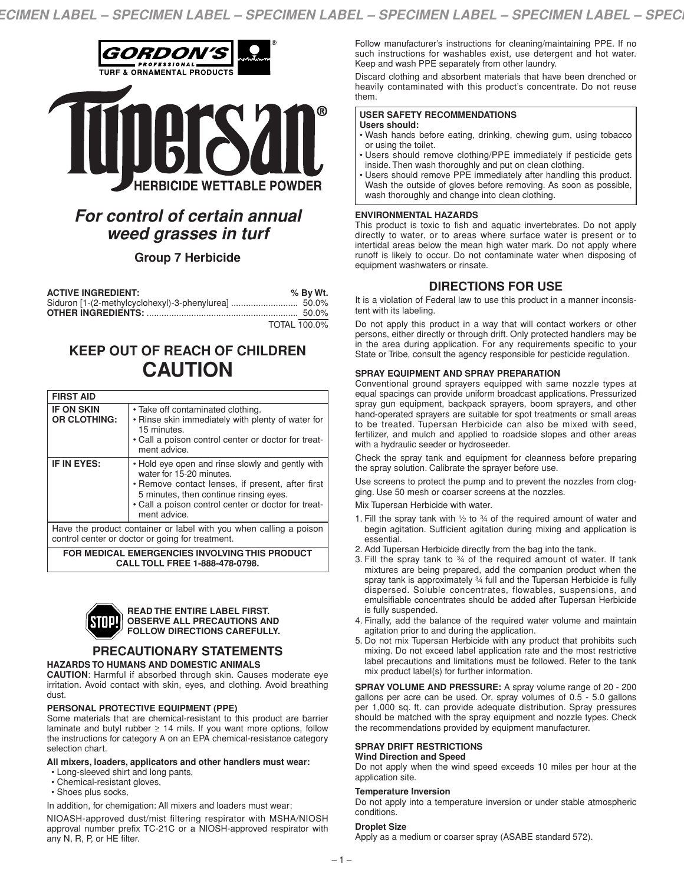

# *For control of certain annual weed grasses in turf*

# **Group 7 Herbicide**

| <b>ACTIVE INGREDIENT:</b> | % By Wt.            |
|---------------------------|---------------------|
|                           |                     |
|                           |                     |
|                           | <b>TOTAL 100.0%</b> |

# **KEEP OUT OF REACH OF CHILDREN CAUTION**

| <b>FIRST AID</b>                                                                                                       |                                                                                                                                                                                                                                                   |  |
|------------------------------------------------------------------------------------------------------------------------|---------------------------------------------------------------------------------------------------------------------------------------------------------------------------------------------------------------------------------------------------|--|
| <b>IF ON SKIN</b><br><b>OR CLOTHING:</b>                                                                               | • Take off contaminated clothing.<br>• Rinse skin immediately with plenty of water for<br>15 minutes.<br>• Call a poison control center or doctor for treat-<br>ment advice.                                                                      |  |
| IF IN EYES:                                                                                                            | • Hold eye open and rinse slowly and gently with<br>water for 15-20 minutes.<br>• Remove contact lenses, if present, after first<br>5 minutes, then continue rinsing eyes.<br>• Call a poison control center or doctor for treat-<br>ment advice. |  |
| Have the product container or label with you when calling a poison<br>control center or doctor or going for treatment. |                                                                                                                                                                                                                                                   |  |

**FOR MEDICAL EMERGENCIES INVOLVING THIS PRODUCT CALL TOLL FREE 1-888-478-0798.**



#### **READ THE ENTIRE LABEL FIRST. OBSERVE ALL PRECAUTIONS AND FOLLOW DIRECTIONS CAREFULLY.**

# **PRECAUTIONARY STATEMENTS**

## **HAZARDS TO HUMANS AND DOMESTIC ANIMALS**

**CAUTION**: Harmful if absorbed through skin. Causes moderate eye irritation. Avoid contact with skin, eyes, and clothing. Avoid breathing dust.

## **PERSONAL PROTECTIVE EQUIPMENT (PPE)**

Some materials that are chemical-resistant to this product are barrier laminate and butyl rubber  $\geq$  14 mils. If you want more options, follow the instructions for category A on an EPA chemical-resistance category selection chart.

#### **All mixers, loaders, applicators and other handlers must wear:**

- Long-sleeved shirt and long pants,
- Chemical-resistant gloves,
- Shoes plus socks,

In addition, for chemigation: All mixers and loaders must wear:

NIOASH-approved dust/mist filtering respirator with MSHA/NIOSH approval number prefix TC-21C or a NIOSH-approved respirator with any N, R, P, or HE filter.

Follow manufacturer's instructions for cleaning/maintaining PPE. If no such instructions for washables exist, use detergent and hot water. Keep and wash PPE separately from other laundry.

Discard clothing and absorbent materials that have been drenched or heavily contaminated with this product's concentrate. Do not reuse them.

#### **USER SAFETY RECOMMENDATIONS Users should:**

- 
- Wash hands before eating, drinking, chewing gum, using tobacco or using the toilet.
- Users should remove clothing/PPE immediately if pesticide gets inside. Then wash thoroughly and put on clean clothing.
- Users should remove PPE immediately after handling this product. Wash the outside of gloves before removing. As soon as possible, wash thoroughly and change into clean clothing.

## **ENVIRONMENTAL HAZARDS**

This product is toxic to fish and aquatic invertebrates. Do not apply directly to water, or to areas where surface water is present or to intertidal areas below the mean high water mark. Do not apply where runoff is likely to occur. Do not contaminate water when disposing of equipment washwaters or rinsate.

# **DIRECTIONS FOR USE**

It is a violation of Federal law to use this product in a manner inconsistent with its labeling.

Do not apply this product in a way that will contact workers or other persons, either directly or through drift. Only protected handlers may be in the area during application. For any requirements specific to your State or Tribe, consult the agency responsible for pesticide regulation.

## **SPRAY EQUIPMENT AND SPRAY PREPARATION**

Conventional ground sprayers equipped with same nozzle types at equal spacings can provide uniform broadcast applications. Pressurized spray gun equipment, backpack sprayers, boom sprayers, and other hand-operated sprayers are suitable for spot treatments or small areas to be treated. Tupersan Herbicide can also be mixed with seed, fertilizer, and mulch and applied to roadside slopes and other areas with a hydraulic seeder or hydroseeder.

Check the spray tank and equipment for cleanness before preparing the spray solution. Calibrate the sprayer before use.

Use screens to protect the pump and to prevent the nozzles from clogging. Use 50 mesh or coarser screens at the nozzles.

Mix Tupersan Herbicide with water.

- 1. Fill the spray tank with  $\frac{1}{2}$  to  $\frac{3}{4}$  of the required amount of water and begin agitation. Sufficient agitation during mixing and application is essential.
- 2. Add Tupersan Herbicide directly from the bag into the tank.
- 3. Fill the spray tank to ¾ of the required amount of water. If tank mixtures are being prepared, add the companion product when the spray tank is approximately ¾ full and the Tupersan Herbicide is fully dispersed. Soluble concentrates, flowables, suspensions, and emulsifiable concentrates should be added after Tupersan Herbicide is fully suspended.
- 4. Finally, add the balance of the required water volume and maintain agitation prior to and during the application.
- 5. Do not mix Tupersan Herbicide with any product that prohibits such mixing. Do not exceed label application rate and the most restrictive label precautions and limitations must be followed. Refer to the tank mix product label(s) for further information.

**SPRAY VOLUME AND PRESSURE:** A spray volume range of 20 - 200 gallons per acre can be used. Or, spray volumes of 0.5 - 5.0 gallons per 1,000 sq. ft. can provide adequate distribution. Spray pressures should be matched with the spray equipment and nozzle types. Check the recommendations provided by equipment manufacturer.

## **SPRAY DRIFT RESTRICTIONS**

## **Wind Direction and Speed**

Do not apply when the wind speed exceeds 10 miles per hour at the application site.

## **Temperature Inversion**

Do not apply into a temperature inversion or under stable atmospheric conditions.

#### **Droplet Size**

Apply as a medium or coarser spray (ASABE standard 572).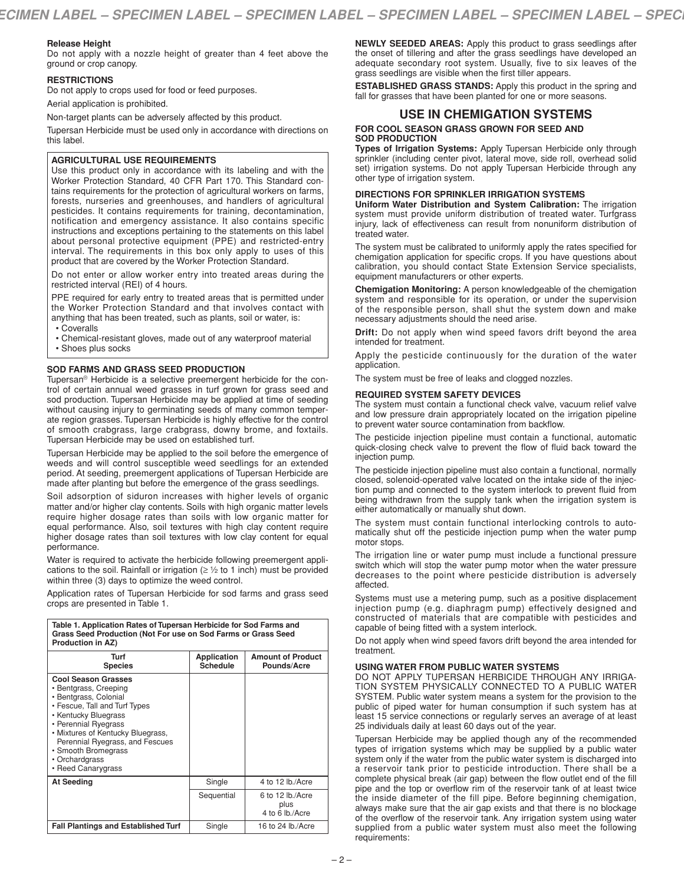## **Release Height**

Do not apply with a nozzle height of greater than 4 feet above the ground or crop canopy.

#### **RESTRICTIONS**

Do not apply to crops used for food or feed purposes.

Aerial application is prohibited.

Non-target plants can be adversely affected by this product.

Tupersan Herbicide must be used only in accordance with directions on this label.

## **AGRICULTURAL USE REQUIREMENTS**

Use this product only in accordance with its labeling and with the Worker Protection Standard, 40 CFR Part 170. This Standard contains requirements for the protection of agricultural workers on farms, forests, nurseries and greenhouses, and handlers of agricultural pesticides. It contains requirements for training, decontamination, notification and emergency assistance. It also contains specific instructions and exceptions pertaining to the statements on this label about personal protective equipment (PPE) and restricted-entry interval. The requirements in this box only apply to uses of this product that are covered by the Worker Protection Standard.

Do not enter or allow worker entry into treated areas during the restricted interval (REI) of 4 hours.

PPE required for early entry to treated areas that is permitted under the Worker Protection Standard and that involves contact with anything that has been treated, such as plants, soil or water, is:

• Coveralls

• Chemical-resistant gloves, made out of any waterproof material • Shoes plus socks

## **SOD FARMS AND GRASS SEED PRODUCTION**

Tupersan® Herbicide is a selective preemergent herbicide for the control of certain annual weed grasses in turf grown for grass seed and sod production. Tupersan Herbicide may be applied at time of seeding without causing injury to germinating seeds of many common temperate region grasses. Tupersan Herbicide is highly effective for the control of smooth crabgrass, large crabgrass, downy brome, and foxtails. Tupersan Herbicide may be used on established turf.

Tupersan Herbicide may be applied to the soil before the emergence of weeds and will control susceptible weed seedlings for an extended period. At seeding, preemergent applications of Tupersan Herbicide are made after planting but before the emergence of the grass seedlings.

Soil adsorption of siduron increases with higher levels of organic matter and/or higher clay contents. Soils with high organic matter levels require higher dosage rates than soils with low organic matter for equal performance. Also, soil textures with high clay content require higher dosage rates than soil textures with low clay content for equal performance.

Water is required to activate the herbicide following preemergent applications to the soil. Rainfall or irrigation ( $\geq$  1/2 to 1 inch) must be provided within three (3) days to optimize the weed control.

Application rates of Tupersan Herbicide for sod farms and grass seed crops are presented in Table 1.

| Table 1. Application Rates of Tupersan Herbicide for Sod Farms and<br>Grass Seed Production (Not For use on Sod Farms or Grass Seed<br>Production in AZ)                                                                                                                                             |                                |                                             |  |  |
|------------------------------------------------------------------------------------------------------------------------------------------------------------------------------------------------------------------------------------------------------------------------------------------------------|--------------------------------|---------------------------------------------|--|--|
| Turf<br><b>Species</b>                                                                                                                                                                                                                                                                               | Application<br><b>Schedule</b> | <b>Amount of Product</b><br>Pounds/Acre     |  |  |
| <b>Cool Season Grasses</b><br>• Bentgrass, Creeping<br>• Bentgrass, Colonial<br>• Fescue, Tall and Turf Types<br>• Kentucky Bluegrass<br>• Perennial Ryegrass<br>• Mixtures of Kentucky Bluegrass,<br>Perennial Ryegrass, and Fescues<br>• Smooth Bromegrass<br>• Orchardgrass<br>• Reed Canarygrass |                                |                                             |  |  |
| <b>At Seeding</b>                                                                                                                                                                                                                                                                                    | Single                         | 4 to 12 lb./Acre                            |  |  |
|                                                                                                                                                                                                                                                                                                      | Sequential                     | 6 to 12 lb./Acre<br>plus<br>4 to 6 lb./Acre |  |  |
| <b>Fall Plantings and Established Turf</b>                                                                                                                                                                                                                                                           | Single                         | 16 to 24 lb./Acre                           |  |  |

**NEWLY SEEDED AREAS:** Apply this product to grass seedlings after the onset of tillering and after the grass seedlings have developed an adequate secondary root system. Usually, five to six leaves of the grass seedlings are visible when the first tiller appears.

**ESTABLISHED GRASS STANDS:** Apply this product in the spring and fall for grasses that have been planted for one or more seasons.

## **USE IN CHEMIGATION SYSTEMS**

#### **FOR COOL SEASON GRASS GROWN FOR SEED AND SOD PRODUCTION**

**Types of Irrigation Systems:** Apply Tupersan Herbicide only through sprinkler (including center pivot, lateral move, side roll, overhead solid set) irrigation systems. Do not apply Tupersan Herbicide through any other type of irrigation system.

#### **DIRECTIONS FOR SPRINKLER IRRIGATION SYSTEMS**

**Uniform Water Distribution and System Calibration:** The irrigation system must provide uniform distribution of treated water. Turfgrass injury, lack of effectiveness can result from nonuniform distribution of treated water.

The system must be calibrated to uniformly apply the rates specified for chemigation application for specific crops. If you have questions about calibration, you should contact State Extension Service specialists, equipment manufacturers or other experts.

**Chemigation Monitoring:** A person knowledgeable of the chemigation system and responsible for its operation, or under the supervision of the responsible person, shall shut the system down and make necessary adjustments should the need arise.

**Drift:** Do not apply when wind speed favors drift beyond the area intended for treatment.

Apply the pesticide continuously for the duration of the water application.

The system must be free of leaks and clogged nozzles.

#### **REQUIRED SYSTEM SAFETY DEVICES**

The system must contain a functional check valve, vacuum relief valve and low pressure drain appropriately located on the irrigation pipeline to prevent water source contamination from backflow.

The pesticide injection pipeline must contain a functional, automatic quick-closing check valve to prevent the flow of fluid back toward the injection pump.

The pesticide injection pipeline must also contain a functional, normally closed, solenoid-operated valve located on the intake side of the injection pump and connected to the system interlock to prevent fluid from being withdrawn from the supply tank when the irrigation system is either automatically or manually shut down.

The system must contain functional interlocking controls to automatically shut off the pesticide injection pump when the water pump motor stops.

The irrigation line or water pump must include a functional pressure switch which will stop the water pump motor when the water pressure decreases to the point where pesticide distribution is adversely affected.

Systems must use a metering pump, such as a positive displacement injection pump (e.g. diaphragm pump) effectively designed and constructed of materials that are compatible with pesticides and capable of being fitted with a system interlock.

Do not apply when wind speed favors drift beyond the area intended for treatment.

## **USING WATER FROM PUBLIC WATER SYSTEMS**

DO NOT APPLY TUPERSAN HERBICIDE THROUGH ANY IRRIGA-TION SYSTEM PHYSICALLY CONNECTED TO A PUBLIC WATER SYSTEM. Public water system means a system for the provision to the public of piped water for human consumption if such system has at least 15 service connections or regularly serves an average of at least 25 individuals daily at least 60 days out of the year.

Tupersan Herbicide may be applied though any of the recommended types of irrigation systems which may be supplied by a public water system only if the water from the public water system is discharged into a reservoir tank prior to pesticide introduction. There shall be a complete physical break (air gap) between the flow outlet end of the fill pipe and the top or overflow rim of the reservoir tank of at least twice the inside diameter of the fill pipe. Before beginning chemigation, always make sure that the air gap exists and that there is no blockage of the overflow of the reservoir tank. Any irrigation system using water supplied from a public water system must also meet the following requirements: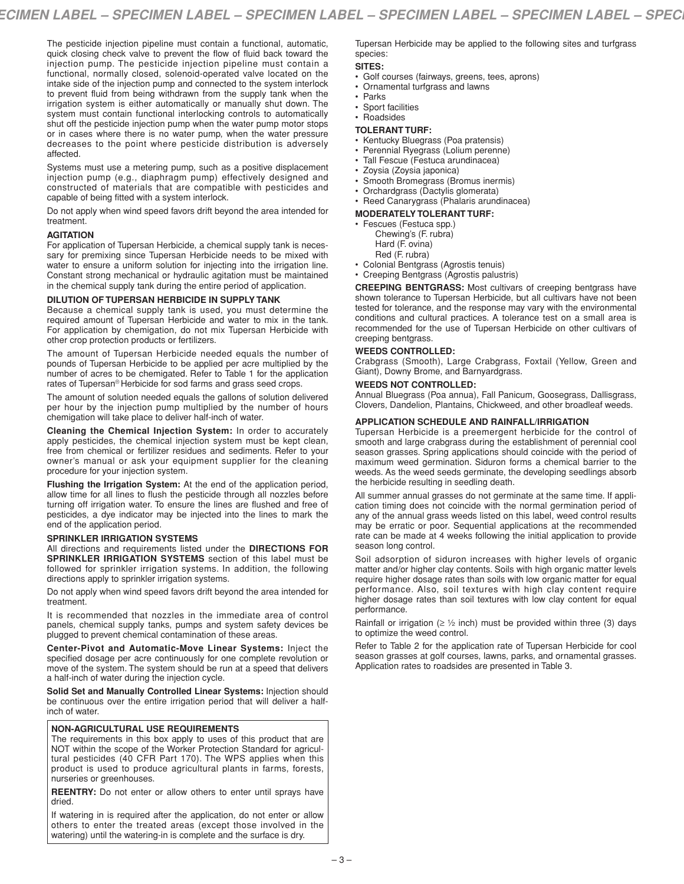The pesticide injection pipeline must contain a functional, automatic, quick closing check valve to prevent the flow of fluid back toward the injection pump. The pesticide injection pipeline must contain a functional, normally closed, solenoid-operated valve located on the intake side of the injection pump and connected to the system interlock to prevent fluid from being withdrawn from the supply tank when the irrigation system is either automatically or manually shut down. The system must contain functional interlocking controls to automatically shut off the pesticide injection pump when the water pump motor stops or in cases where there is no water pump, when the water pressure decreases to the point where pesticide distribution is adversely affected.

Systems must use a metering pump, such as a positive displacement injection pump (e.g., diaphragm pump) effectively designed and constructed of materials that are compatible with pesticides and capable of being fitted with a system interlock.

Do not apply when wind speed favors drift beyond the area intended for treatment.

### **AGITATION**

For application of Tupersan Herbicide, a chemical supply tank is necessary for premixing since Tupersan Herbicide needs to be mixed with water to ensure a uniform solution for injecting into the irrigation line. Constant strong mechanical or hydraulic agitation must be maintained in the chemical supply tank during the entire period of application.

## **DILUTION OF TUPERSAN HERBICIDE IN SUPPLY TANK**

Because a chemical supply tank is used, you must determine the required amount of Tupersan Herbicide and water to mix in the tank. For application by chemigation, do not mix Tupersan Herbicide with other crop protection products or fertilizers.

The amount of Tupersan Herbicide needed equals the number of pounds of Tupersan Herbicide to be applied per acre multiplied by the number of acres to be chemigated. Refer to Table 1 for the application rates of Tupersan® Herbicide for sod farms and grass seed crops.

The amount of solution needed equals the gallons of solution delivered per hour by the injection pump multiplied by the number of hours chemigation will take place to deliver half-inch of water.

**Cleaning the Chemical Injection System:** In order to accurately apply pesticides, the chemical injection system must be kept clean, free from chemical or fertilizer residues and sediments. Refer to your owner's manual or ask your equipment supplier for the cleaning procedure for your injection system.

**Flushing the Irrigation System:** At the end of the application period, allow time for all lines to flush the pesticide through all nozzles before turning off irrigation water. To ensure the lines are flushed and free of pesticides, a dye indicator may be injected into the lines to mark the end of the application period.

#### **SPRINKLER IRRIGATION SYSTEMS**

All directions and requirements listed under the **DIRECTIONS FOR SPRINKLER IRRIGATION SYSTEMS** section of this label must be followed for sprinkler irrigation systems. In addition, the following directions apply to sprinkler irrigation systems.

Do not apply when wind speed favors drift beyond the area intended for treatment.

It is recommended that nozzles in the immediate area of control panels, chemical supply tanks, pumps and system safety devices be plugged to prevent chemical contamination of these areas.

**Center-Pivot and Automatic-Move Linear Systems:** Inject the specified dosage per acre continuously for one complete revolution or move of the system. The system should be run at a speed that delivers a half-inch of water during the injection cycle.

**Solid Set and Manually Controlled Linear Systems:** Injection should be continuous over the entire irrigation period that will deliver a halfinch of water.

## **NON-AGRICULTURAL USE REQUIREMENTS**

The requirements in this box apply to uses of this product that are NOT within the scope of the Worker Protection Standard for agricultural pesticides (40 CFR Part 170). The WPS applies when this product is used to produce agricultural plants in farms, forests, nurseries or greenhouses.

**REENTRY:** Do not enter or allow others to enter until sprays have dried.

If watering in is required after the application, do not enter or allow others to enter the treated areas (except those involved in the watering) until the watering-in is complete and the surface is dry.

Tupersan Herbicide may be applied to the following sites and turfgrass species:

## **SITES:**

- Golf courses (fairways, greens, tees, aprons)
- Ornamental turfgrass and lawns
- Parks
- Sport facilities
- Roadsides

## **TOLERANT TURF:**

- Kentucky Bluegrass (Poa pratensis)
- Perennial Ryegrass (Lolium perenne)
- Tall Fescue (Festuca arundinacea)
- Zoysia (Zoysia japonica)
- Smooth Bromegrass (Bromus inermis)
- Orchardgrass (Dactylis glomerata)
- Reed Canarygrass (Phalaris arundinacea)
- **MODERATELY TOLERANT TURF:**
- Fescues (Festuca spp.) Chewing's (F. rubra)
	- Hard (F. ovina)
	- Red (F. rubra)
- Colonial Bentgrass (Agrostis tenuis)
- Creeping Bentgrass (Agrostis palustris)

**CREEPING BENTGRASS:** Most cultivars of creeping bentgrass have shown tolerance to Tupersan Herbicide, but all cultivars have not been tested for tolerance, and the response may vary with the environmental conditions and cultural practices. A tolerance test on a small area is recommended for the use of Tupersan Herbicide on other cultivars of creeping bentgrass.

### **WEEDS CONTROLLED:**

Crabgrass (Smooth), Large Crabgrass, Foxtail (Yellow, Green and Giant), Downy Brome, and Barnyardgrass.

## **WEEDS NOT CONTROLLED:**

Annual Bluegrass (Poa annua), Fall Panicum, Goosegrass, Dallisgrass, Clovers, Dandelion, Plantains, Chickweed, and other broadleaf weeds.

## **APPLICATION SCHEDULE AND RAINFALL/IRRIGATION**

Tupersan Herbicide is a preemergent herbicide for the control of smooth and large crabgrass during the establishment of perennial cool season grasses. Spring applications should coincide with the period of maximum weed germination. Siduron forms a chemical barrier to the weeds. As the weed seeds germinate, the developing seedlings absorb the herbicide resulting in seedling death.

All summer annual grasses do not germinate at the same time. If application timing does not coincide with the normal germination period of any of the annual grass weeds listed on this label, weed control results may be erratic or poor. Sequential applications at the recommended rate can be made at 4 weeks following the initial application to provide season long control.

Soil adsorption of siduron increases with higher levels of organic matter and/or higher clay contents. Soils with high organic matter levels require higher dosage rates than soils with low organic matter for equal performance. Also, soil textures with high clay content require higher dosage rates than soil textures with low clay content for equal performance.

Rainfall or irrigation ( $\geq$  1/2 inch) must be provided within three (3) days to optimize the weed control.

Refer to Table 2 for the application rate of Tupersan Herbicide for cool season grasses at golf courses, lawns, parks, and ornamental grasses. Application rates to roadsides are presented in Table 3.